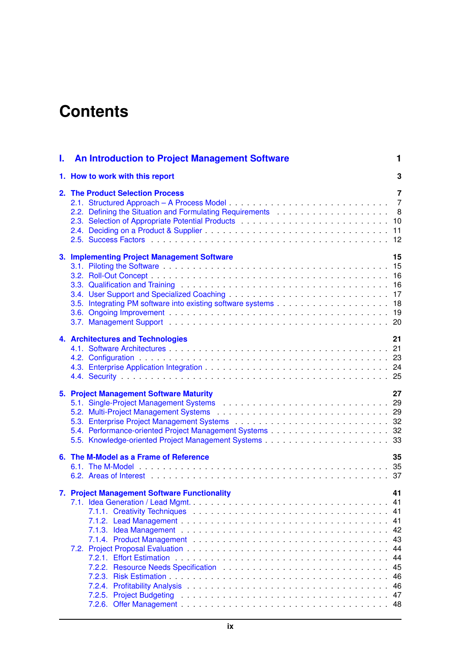## **Contents**

| L. | <b>An Introduction to Project Management Software</b>                                                                                           | 1                                                                    |
|----|-------------------------------------------------------------------------------------------------------------------------------------------------|----------------------------------------------------------------------|
|    | 1. How to work with this report                                                                                                                 | 3                                                                    |
|    | 2. The Product Selection Process                                                                                                                | 7<br>$\overline{7}$                                                  |
|    | 3. Implementing Project Management Software                                                                                                     | 15                                                                   |
|    | 4. Architectures and Technologies                                                                                                               | 21                                                                   |
|    | 5. Project Management Software Maturity                                                                                                         | 27                                                                   |
|    | 6. The M-Model as a Frame of Reference<br>6.2. Areas of Interest entertainment and the series of the series of the series of the series of $37$ | 35                                                                   |
|    | 7. Project Management Software Functionality                                                                                                    | 41<br>41<br>41<br>41<br>42<br>43<br>44<br>44<br>45<br>46<br>46<br>47 |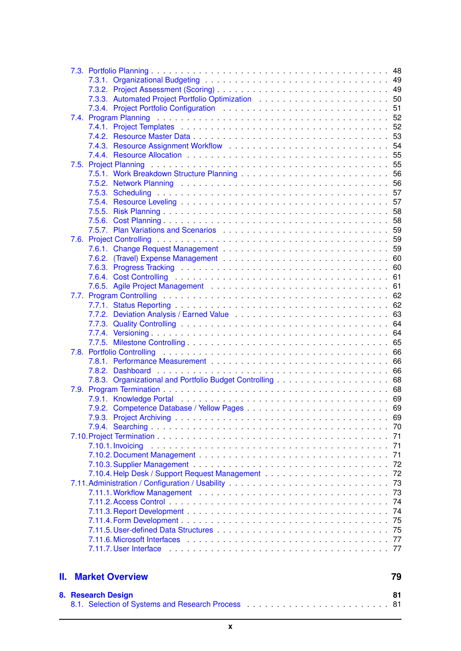|     | <b>8</b> Recearch Decian                                                                                       | 81       |
|-----|----------------------------------------------------------------------------------------------------------------|----------|
| II. | <b>Market Overview</b>                                                                                         | 79       |
|     |                                                                                                                |          |
|     | 7.11.7. User Interface entrance in the series of the series of the series of the series of the series of the s |          |
|     |                                                                                                                | 77       |
|     |                                                                                                                | 75       |
|     |                                                                                                                | 75       |
|     |                                                                                                                | 74       |
|     |                                                                                                                | 74       |
|     |                                                                                                                | 73       |
|     |                                                                                                                | 73       |
|     |                                                                                                                | 72       |
|     |                                                                                                                | 71<br>72 |
|     | 7.10.1. Invoicing                                                                                              | 71       |
|     |                                                                                                                | 71       |
|     |                                                                                                                |          |
|     |                                                                                                                |          |
|     |                                                                                                                |          |
|     |                                                                                                                |          |
|     |                                                                                                                |          |
|     |                                                                                                                |          |
|     |                                                                                                                |          |
|     |                                                                                                                |          |
|     |                                                                                                                |          |
|     |                                                                                                                |          |
|     |                                                                                                                |          |
|     |                                                                                                                |          |
|     |                                                                                                                |          |
|     |                                                                                                                |          |
|     |                                                                                                                |          |
|     |                                                                                                                |          |
|     |                                                                                                                |          |
|     |                                                                                                                |          |
|     |                                                                                                                |          |
|     |                                                                                                                |          |
|     |                                                                                                                |          |
|     |                                                                                                                |          |
|     |                                                                                                                |          |
|     |                                                                                                                |          |
|     |                                                                                                                |          |
|     |                                                                                                                |          |
|     |                                                                                                                |          |
|     |                                                                                                                |          |
|     |                                                                                                                |          |
|     |                                                                                                                |          |
|     |                                                                                                                |          |
|     |                                                                                                                |          |
|     |                                                                                                                |          |
|     |                                                                                                                |          |
|     |                                                                                                                |          |
|     |                                                                                                                |          |
|     |                                                                                                                |          |
|     |                                                                                                                |          |

| 8. Research Design |  |
|--------------------|--|
|                    |  |